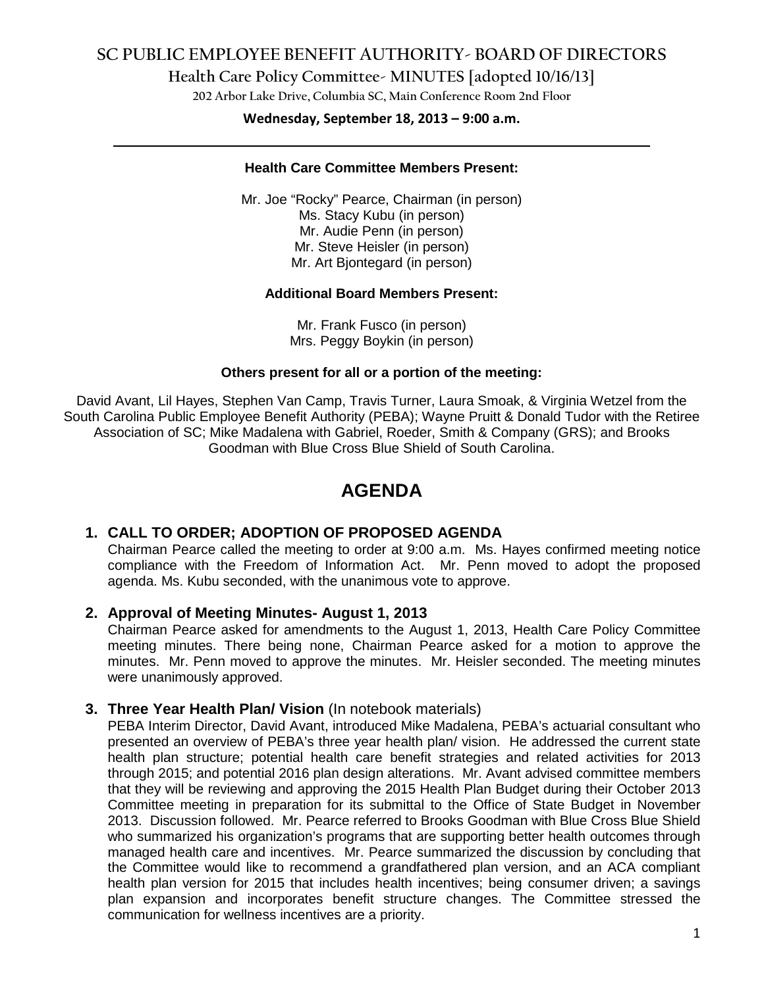## **SC PUBLIC EMPLOYEE BENEFIT AUTHORITY- BOARD OF DIRECTORS**

**Health Care Policy Committee- MINUTES [adopted 10/16/13]**

**202 Arbor Lake Drive, Columbia SC, Main Conference Room 2nd Floor**

## **Wednesday, September 18, 2013 – 9:00 a.m. \_\_\_\_\_\_\_\_\_\_\_\_\_\_\_\_\_\_\_\_\_\_\_\_\_\_\_\_\_\_\_\_\_\_\_\_\_\_\_\_\_\_\_\_\_\_\_\_\_\_\_\_\_\_\_\_\_\_\_\_\_\_\_\_\_\_\_\_\_\_\_\_**

#### **Health Care Committee Members Present:**

Mr. Joe "Rocky" Pearce, Chairman (in person) Ms. Stacy Kubu (in person) Mr. Audie Penn (in person) Mr. Steve Heisler (in person) Mr. Art Bjontegard (in person)

#### **Additional Board Members Present:**

Mr. Frank Fusco (in person) Mrs. Peggy Boykin (in person)

#### **Others present for all or a portion of the meeting:**

David Avant, Lil Hayes, Stephen Van Camp, Travis Turner, Laura Smoak, & Virginia Wetzel from the South Carolina Public Employee Benefit Authority (PEBA); Wayne Pruitt & Donald Tudor with the Retiree Association of SC; Mike Madalena with Gabriel, Roeder, Smith & Company (GRS); and Brooks Goodman with Blue Cross Blue Shield of South Carolina.

# **AGENDA**

### **1. CALL TO ORDER; ADOPTION OF PROPOSED AGENDA**

Chairman Pearce called the meeting to order at 9:00 a.m. Ms. Hayes confirmed meeting notice compliance with the Freedom of Information Act. Mr. Penn moved to adopt the proposed agenda. Ms. Kubu seconded, with the unanimous vote to approve.

#### **2. Approval of Meeting Minutes- August 1, 2013**

Chairman Pearce asked for amendments to the August 1, 2013, Health Care Policy Committee meeting minutes. There being none, Chairman Pearce asked for a motion to approve the minutes. Mr. Penn moved to approve the minutes. Mr. Heisler seconded. The meeting minutes were unanimously approved.

#### **3. Three Year Health Plan/ Vision** (In notebook materials)

PEBA Interim Director, David Avant, introduced Mike Madalena, PEBA's actuarial consultant who presented an overview of PEBA's three year health plan/ vision. He addressed the current state health plan structure; potential health care benefit strategies and related activities for 2013 through 2015; and potential 2016 plan design alterations. Mr. Avant advised committee members that they will be reviewing and approving the 2015 Health Plan Budget during their October 2013 Committee meeting in preparation for its submittal to the Office of State Budget in November 2013. Discussion followed. Mr. Pearce referred to Brooks Goodman with Blue Cross Blue Shield who summarized his organization's programs that are supporting better health outcomes through managed health care and incentives. Mr. Pearce summarized the discussion by concluding that the Committee would like to recommend a grandfathered plan version, and an ACA compliant health plan version for 2015 that includes health incentives; being consumer driven; a savings plan expansion and incorporates benefit structure changes. The Committee stressed the communication for wellness incentives are a priority.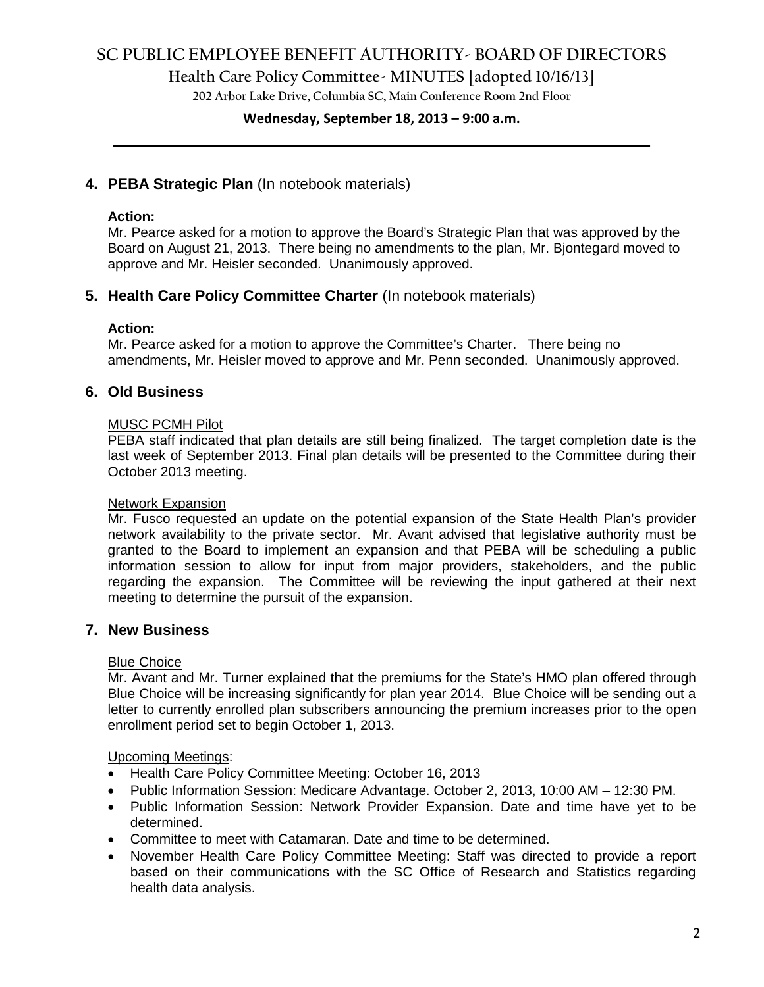## **SC PUBLIC EMPLOYEE BENEFIT AUTHORITY- BOARD OF DIRECTORS**

**Health Care Policy Committee- MINUTES [adopted 10/16/13]**

**202 Arbor Lake Drive, Columbia SC, Main Conference Room 2nd Floor**

## **Wednesday, September 18, 2013 – 9:00 a.m. \_\_\_\_\_\_\_\_\_\_\_\_\_\_\_\_\_\_\_\_\_\_\_\_\_\_\_\_\_\_\_\_\_\_\_\_\_\_\_\_\_\_\_\_\_\_\_\_\_\_\_\_\_\_\_\_\_\_\_\_\_\_\_\_\_\_\_\_\_\_\_\_**

### **4. PEBA Strategic Plan** (In notebook materials)

#### **Action:**

Mr. Pearce asked for a motion to approve the Board's Strategic Plan that was approved by the Board on August 21, 2013. There being no amendments to the plan, Mr. Bjontegard moved to approve and Mr. Heisler seconded. Unanimously approved.

### **5. Health Care Policy Committee Charter** (In notebook materials)

#### **Action:**

Mr. Pearce asked for a motion to approve the Committee's Charter. There being no amendments, Mr. Heisler moved to approve and Mr. Penn seconded. Unanimously approved.

### **6. Old Business**

#### MUSC PCMH Pilot

PEBA staff indicated that plan details are still being finalized. The target completion date is the last week of September 2013. Final plan details will be presented to the Committee during their October 2013 meeting.

#### Network Expansion

Mr. Fusco requested an update on the potential expansion of the State Health Plan's provider network availability to the private sector. Mr. Avant advised that legislative authority must be granted to the Board to implement an expansion and that PEBA will be scheduling a public information session to allow for input from major providers, stakeholders, and the public regarding the expansion. The Committee will be reviewing the input gathered at their next meeting to determine the pursuit of the expansion.

### **7. New Business**

#### Blue Choice

Mr. Avant and Mr. Turner explained that the premiums for the State's HMO plan offered through Blue Choice will be increasing significantly for plan year 2014. Blue Choice will be sending out a letter to currently enrolled plan subscribers announcing the premium increases prior to the open enrollment period set to begin October 1, 2013.

#### Upcoming Meetings:

- Health Care Policy Committee Meeting: October 16, 2013
- Public Information Session: Medicare Advantage. October 2, 2013, 10:00 AM 12:30 PM.
- Public Information Session: Network Provider Expansion. Date and time have yet to be determined.
- Committee to meet with Catamaran. Date and time to be determined.
- November Health Care Policy Committee Meeting: Staff was directed to provide a report based on their communications with the SC Office of Research and Statistics regarding health data analysis.